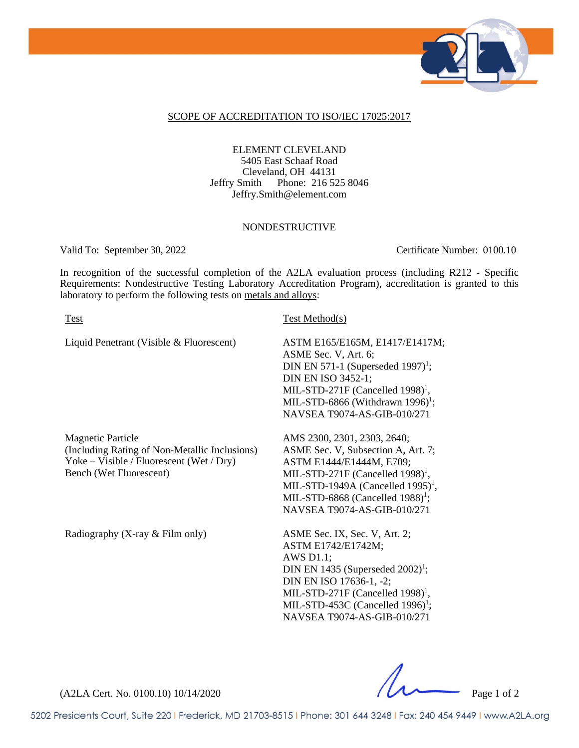

#### SCOPE OF ACCREDITATION TO ISO/IEC 17025:2017

 ELEMENT CLEVELAND 5405 East Schaaf Road Cleveland, OH 44131 Jeffry Smith Phone: 216 525 8046 Jeffry.Smith@element.com

#### NONDESTRUCTIVE

Valid To: September 30, 2022 Certificate Number: 0100.10

In recognition of the successful completion of the A2LA evaluation process (including R212 - Specific Requirements: Nondestructive Testing Laboratory Accreditation Program), accreditation is granted to this laboratory to perform the following tests on metals and alloys:

| Test                                                                                                                                             | Test Method(s)                                                                                                                                                                                                                                                                   |
|--------------------------------------------------------------------------------------------------------------------------------------------------|----------------------------------------------------------------------------------------------------------------------------------------------------------------------------------------------------------------------------------------------------------------------------------|
| Liquid Penetrant (Visible & Fluorescent)                                                                                                         | ASTM E165/E165M, E1417/E1417M;<br>ASME Sec. V, Art. 6;<br>DIN EN 571-1 (Superseded 1997) <sup>1</sup> ;<br>DIN EN ISO 3452-1;<br>MIL-STD-271F (Cancelled 1998) <sup>1</sup> ,<br>MIL-STD-6866 (Withdrawn 1996) <sup>1</sup> ;<br>NAVSEA T9074-AS-GIB-010/271                     |
| <b>Magnetic Particle</b><br>(Including Rating of Non-Metallic Inclusions)<br>Yoke - Visible / Fluorescent (Wet / Dry)<br>Bench (Wet Fluorescent) | AMS 2300, 2301, 2303, 2640;<br>ASME Sec. V, Subsection A, Art. 7;<br>ASTM E1444/E1444M, E709;<br>MIL-STD-271F (Cancelled 1998) <sup>1</sup> ,<br>MIL-STD-1949A (Cancelled 1995) <sup>1</sup> ,<br>MIL-STD-6868 (Cancelled $1988$ ) <sup>1</sup> ;<br>NAVSEA T9074-AS-GIB-010/271 |
| Radiography (X-ray & Film only)                                                                                                                  | ASME Sec. IX, Sec. V, Art. 2;<br>ASTM E1742/E1742M;<br>AWS $D1.1$ ;<br>DIN EN 1435 (Superseded $2002$ <sup>1</sup> ;<br>DIN EN ISO 17636-1, -2;<br>MIL-STD-271F (Cancelled 1998) <sup>1</sup> ,<br>MIL-STD-453C (Cancelled $1996$ <sup>1</sup> ;                                 |

(A2LA Cert. No. 0100.10) 10/14/2020

5202 Presidents Court, Suite 220 | Frederick, MD 21703-8515 | Phone: 301 644 3248 | Fax: 240 454 9449 | www.A2LA.org

NAVSEA T9074-AS-GIB-010/271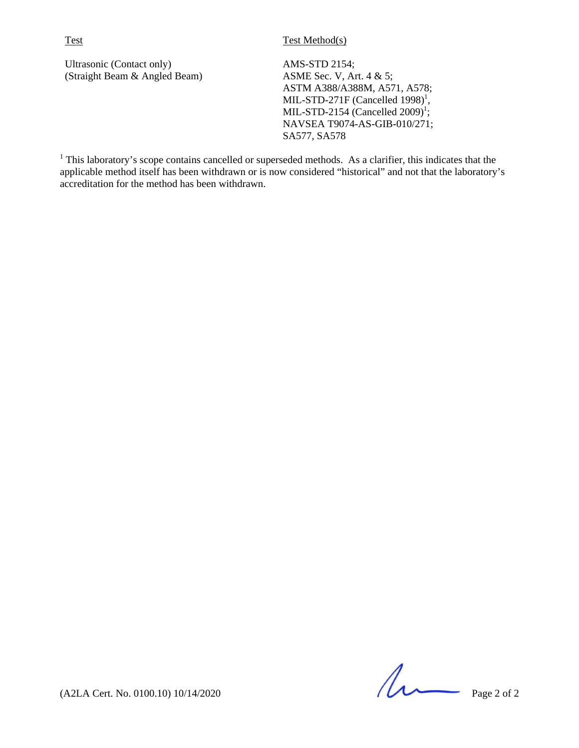Ultrasonic (Contact only) (Straight Beam & Angled Beam) AMS-STD 2154; ASME Sec. V, Art. 4 & 5; ASTM A388/A388M, A571, A578; MIL-STD-271F (Cancelled  $1998$ )<sup>1</sup>, MIL-STD-2154 (Cancelled  $2009$ <sup>1</sup>; NAVSEA T9074-AS-GIB-010/271; SA577, SA578

<sup>1</sup> This laboratory's scope contains cancelled or superseded methods. As a clarifier, this indicates that the applicable method itself has been withdrawn or is now considered "historical" and not that the laboratory's accreditation for the method has been withdrawn.